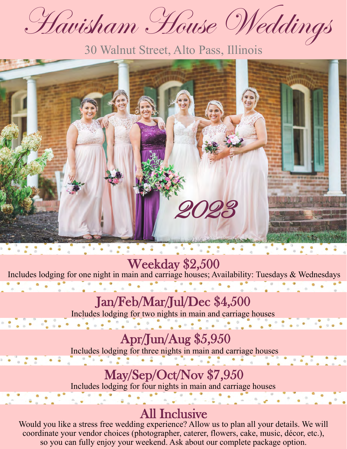Havisham House Weddings

#### 30 Walnut Street, Alto Pass, Illinois

# 2023 JT Photo  $\frac{1}{2}$

Weekday \$2,500

Includes lodging for one night in main and carriage houses; Availability: Tuesdays & Wednesdays

# Jan/Feb/Mar/Jul/Dec \$4,500

Includes lodging for two nights in main and carriage houses

## Apr/Jun/Aug \$5,950

Includes lodging for three nights in main and carriage houses

## May/Sep/Oct/Nov \$7,950

Includes lodging for four nights in main and carriage houses

### All Inclusive

Would you like a stress free wedding experience? Allow us to plan all your details. We will coordinate your vendor choices (photographer, caterer, flowers, cake, music, décor, etc.), so you can fully enjoy your weekend. Ask about our complete package option.